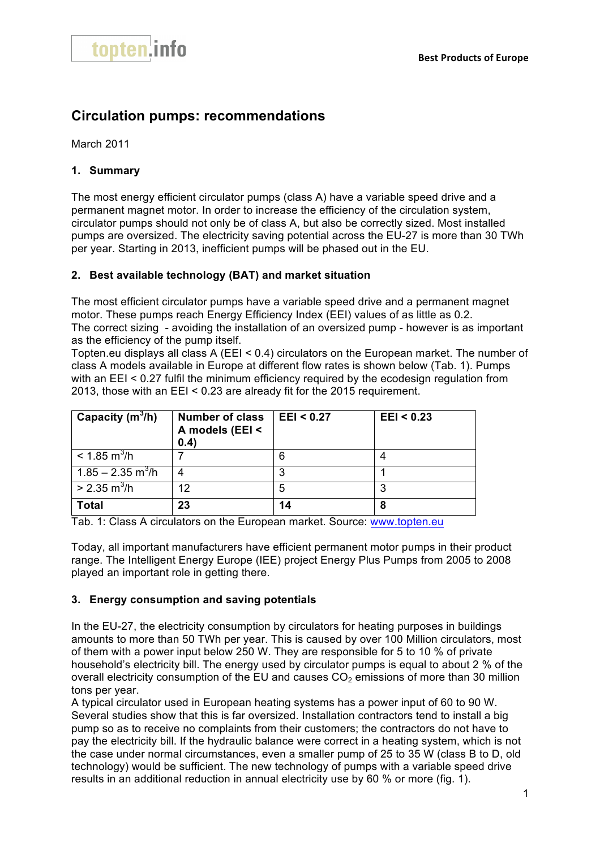

# **Circulation pumps: recommendations**

March 2011

## **1. Summary**

The most energy efficient circulator pumps (class A) have a variable speed drive and a permanent magnet motor. In order to increase the efficiency of the circulation system, circulator pumps should not only be of class A, but also be correctly sized. Most installed pumps are oversized. The electricity saving potential across the EU-27 is more than 30 TWh per year. Starting in 2013, inefficient pumps will be phased out in the EU.

#### **2. Best available technology (BAT) and market situation**

The most efficient circulator pumps have a variable speed drive and a permanent magnet motor. These pumps reach Energy Efficiency Index (EEI) values of as little as 0.2. The correct sizing - avoiding the installation of an oversized pump - however is as important as the efficiency of the pump itself.

Topten.eu displays all class A (EEI < 0.4) circulators on the European market. The number of class A models available in Europe at different flow rates is shown below (Tab. 1). Pumps with an EEI < 0.27 fulfil the minimum efficiency required by the ecodesign regulation from 2013, those with an EEI < 0.23 are already fit for the 2015 requirement.

| Capacity $(m^3/h)$              | <b>Number of class</b><br>A models (EEI <<br>(0.4) | E E I < 0.27 | E E I < 0.23 |
|---------------------------------|----------------------------------------------------|--------------|--------------|
| $< 1.85 \text{ m}^3/\text{h}$   |                                                    | 6            |              |
| $1.85 - 2.35$ m <sup>3</sup> /h |                                                    | ≏            |              |
| $> 2.35 \text{ m}^3/\text{h}$   | 12                                                 | 5            |              |
| <b>Total</b>                    | 23                                                 | 14           |              |

Tab. 1: Class A circulators on the European market. Source: www.topten.eu

Today, all important manufacturers have efficient permanent motor pumps in their product range. The Intelligent Energy Europe (IEE) project Energy Plus Pumps from 2005 to 2008 played an important role in getting there.

#### **3. Energy consumption and saving potentials**

In the EU-27, the electricity consumption by circulators for heating purposes in buildings amounts to more than 50 TWh per year. This is caused by over 100 Million circulators, most of them with a power input below 250 W. They are responsible for 5 to 10 % of private household's electricity bill. The energy used by circulator pumps is equal to about 2 % of the overall electricity consumption of the EU and causes  $CO<sub>2</sub>$  emissions of more than 30 million tons per year.

A typical circulator used in European heating systems has a power input of 60 to 90 W. Several studies show that this is far oversized. Installation contractors tend to install a big pump so as to receive no complaints from their customers; the contractors do not have to pay the electricity bill. If the hydraulic balance were correct in a heating system, which is not the case under normal circumstances, even a smaller pump of 25 to 35 W (class B to D, old technology) would be sufficient. The new technology of pumps with a variable speed drive results in an additional reduction in annual electricity use by 60 % or more (fig. 1).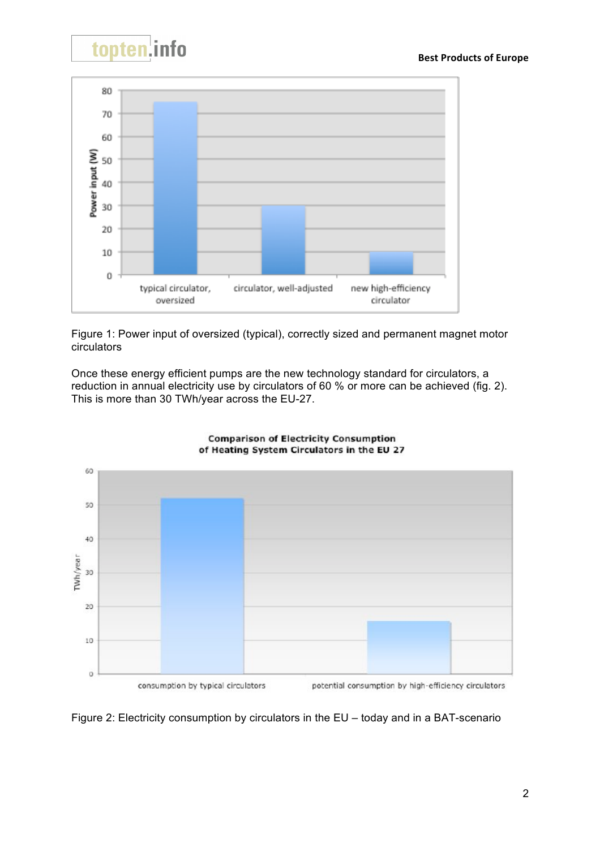



Figure 1: Power input of oversized (typical), correctly sized and permanent magnet motor circulators

Once these energy efficient pumps are the new technology standard for circulators, a reduction in annual electricity use by circulators of 60 % or more can be achieved (fig. 2). This is more than 30 TWh/year across the EU-27.



#### **Comparison of Electricity Consumption** of Heating System Circulators in the EU 27

Figure 2: Electricity consumption by circulators in the EU – today and in a BAT-scenario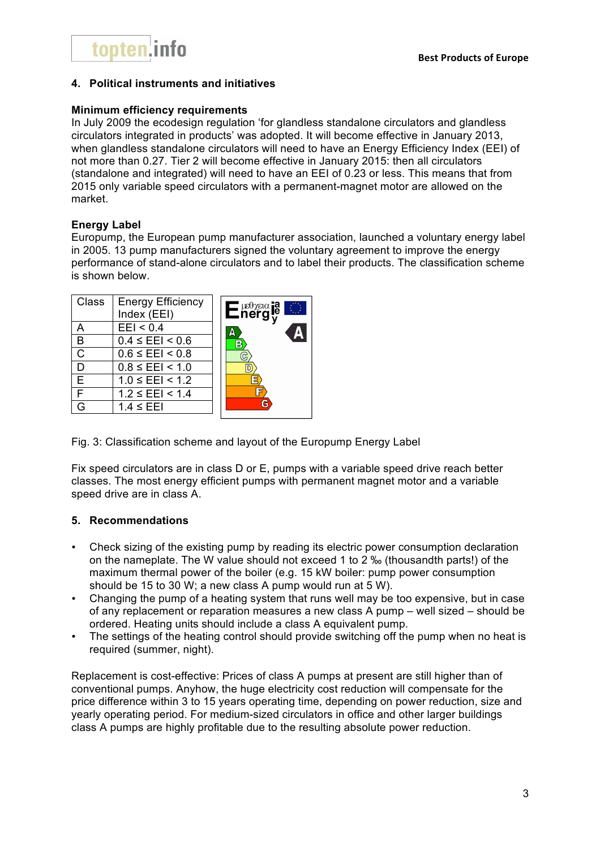# **4. Political instruments and initiatives**

#### **Minimum efficiency requirements**

In July 2009 the ecodesign regulation 'for glandless standalone circulators and glandless circulators integrated in products' was adopted. It will become effective in January 2013, when glandless standalone circulators will need to have an Energy Efficiency Index (EEI) of not more than 0.27. Tier 2 will become effective in January 2015: then all circulators (standalone and integrated) will need to have an EEI of 0.23 or less. This means that from 2015 only variable speed circulators with a permanent-magnet motor are allowed on the market.

# **Energy Label**

Europump, the European pump manufacturer association, launched a voluntary energy label in 2005. 13 pump manufacturers signed the voluntary agreement to improve the energy performance of stand-alone circulators and to label their products. The classification scheme is shown below.

| <b>Class</b> | <b>Energy Efficiency</b><br>Index (EEI) | $\mathsf{E}^{\mathsf{new}}_{\mathsf{neg}}$<br>O |
|--------------|-----------------------------------------|-------------------------------------------------|
|              | EEI < 0.4                               | Д                                               |
| В            | $0.4 \leq E E1 < 0.6$                   | В                                               |
|              | $0.6 \leq E E1 < 0.8$                   |                                                 |
|              | $0.8 \leq E E1 \leq 1.0$                |                                                 |
| F            | $1.0 \leq E E1 \leq 1.2$                |                                                 |
| F            | $1.2 \leq E E1 \leq 1.4$                |                                                 |
|              | $1.4 \leq E E$                          | G                                               |

Fig. 3: Classification scheme and layout of the Europump Energy Label

Fix speed circulators are in class D or E, pumps with a variable speed drive reach better classes. The most energy efficient pumps with permanent magnet motor and a variable speed drive are in class A.

# **5. Recommendations**

- Check sizing of the existing pump by reading its electric power consumption declaration on the nameplate. The W value should not exceed 1 to 2 ‰ (thousandth parts!) of the maximum thermal power of the boiler (e.g. 15 kW boiler: pump power consumption should be 15 to 30 W; a new class A pump would run at 5 W).
- Changing the pump of a heating system that runs well may be too expensive, but in case of any replacement or reparation measures a new class A pump – well sized – should be ordered. Heating units should include a class A equivalent pump.
- The settings of the heating control should provide switching off the pump when no heat is required (summer, night).

Replacement is cost-effective: Prices of class A pumps at present are still higher than of conventional pumps. Anyhow, the huge electricity cost reduction will compensate for the price difference within 3 to 15 years operating time, depending on power reduction, size and yearly operating period. For medium-sized circulators in office and other larger buildings class A pumps are highly profitable due to the resulting absolute power reduction.